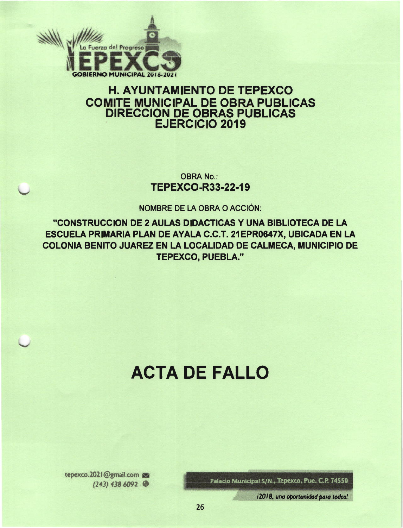

# **H. AYUNTAMIENTO DE TEPEXCO COMITE MUNICIPAL DE OBRA PUBLICAS DIRECCION DE OBRAS PUBLICAS EJERCICIO 2019**

**OBRA No.: TEPEXCO-R33-22-19** 

NOMBRE DE LA OBRA O ACCIÓN:

"CONSTRUCCION DE 2 AULAS DIDACTICAS Y UNA BIBLIOTECA DE LA ESCUELA PRIMARIA PLAN DE AYALA C.C.T. 21EPR0647X, UBICADA EN LA COLONIA BENITO JUAREZ EN LA LOCALIDAD DE CALMECA, MUNICIPIO DE **TEPEXCO, PUEBLA."** 

# **ACTA DE FALLO**

Palacio Municipal S/N, Tepexco, Pue. C.P. 74550

tepexco.2021@gmail.com  $(243)$  438 6092

i2018, una oportunidad para todos!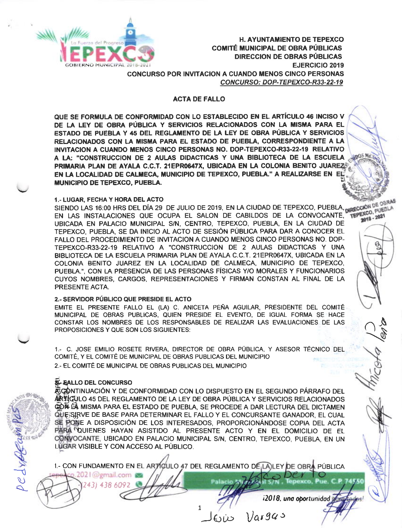

**H. AYUNTAMIENTO DE TEPEXCO COMITÉ MUNICIPAL DE OBRA PÚBLICAS DIRECCION DE OBRAS PÚBLICAS EJERCICIO 2019 CONCURSO POR INVITACION A CUANDO MENOS CINCO PERSONAS** CONCURSO: DOP-TEPEXCO-R33-22-19

## **ACTA DE FALLO**

QUE SE FORMULA DE CONFORMIDAD CON LO ESTABLECIDO EN EL ARTÍCULO 46 INCISO V DE LA LEY DE OBRA PÚBLICA Y SERVICIOS RELACIONADOS CON LA MISMA PARA EL ESTADO DE PUEBLA Y 45 DEL REGLAMENTO DE LA LEY DE OBRA PÚBLICA Y SERVICIOS RELACIONADOS CON LA MISMA PARA EL ESTADO DE PUEBLA, CORRESPONDIENTE A LA INVITACION A CUANDO MENOS CINCO PERSONAS NO. DOP-TEPEXCO-R33-22-19 RELATIVO A LA: "CONSTRUCCION DE 2 AULAS DIDACTICAS Y UNA BIBLIOTECA DE LA ESCUELA PRIMARIA PLAN DE AYALA C.C.T. 21EPR0647X, UBICADA EN LA COLONIA BENITO JUAREZS EN LA LOCALIDAD DE CALMECA, MUNICIPIO DE TEPEXCO, PUEBLA." A REALIZARSE EN EL **MUNICIPIO DE TEPEXCO, PUEBLA.** 

#### 1.- LUGAR, FECHA Y HORA DEL ACTO

SIENDO LAS 16:00 HRS DEL DÍA 29 DE JULIO DE 2019, EN LA CIUDAD DE TEPEXCO, PUEBLA, DRECCIÓN DE OBRAS EN LAS INSTALACIONES QUE OCUPA EL SALON DE CABILDOS DE LA CONVOCANTE, TEPEXCO, PUEBLA UBICADA EN PALACIO MUNICIPAL S/N, CENTRO, TEPEXCO, PUEBLA, EN LA CIUDAD DE TEPEXCO, PUEBLA, SE DA INICIO AL ACTO DE SESIÓN PÚBLICA PARA DAR A CONOCER EL FALLO DEL PROCEDIMIENTO DE INVITACIÓN A CUANDO MENOS CINCO PERSONAS NO. DOP-TEPEXCO-R33-22-19 RELATIVO A "CONSTRUCCION DE 2 AULAS DIDACTICAS Y UNA BIBLIOTECA DE LA ESCUELA PRIMARIA PLAN DE AYALA C.C.T. 21 EPR0647X, UBICADA EN LA COLONIA BENITO JUAREZ EN LA LOCALIDAD DE CALMECA, MUNICIPIO DE TEPEXCO, PUEBLA.", CON LA PRESENCIA DE LAS PERSONAS FÍSICAS Y/O MORALES Y FUNCIONARIOS CUYOS NOMBRES, CARGOS, REPRESENTACIONES Y FIRMAN CONSTAN AL FINAL DE LA PRESENTE ACTA.

#### 2.- SERVIDOR PÚBLICO QUE PRESIDE EL ACTO

EMITE EL PRESENTE FALLO EL (LA) C. ANICETA PEÑA AGUILAR, PRESIDENTE DEL COMITÉ MUNICIPAL DE OBRAS PUBLICAS, QUIEN PRESIDE EL EVENTO, DE IGUAL FORMA SE HACE CONSTAR LOS NOMBRES DE LOS RESPONSABLES DE REALIZAR LAS EVALUACIONES DE LAS PROPOSICIONES Y QUE SON LOS SIGUIENTES:

1.- C. JOSE EMILIO ROSETE RIVERA, DIRECTOR DE OBRA PÚBLICA, Y ASESOR TÉCNICO DEL COMITÉ, Y EL COMITÉ DE MUNICIPAL DE OBRAS PUBLICAS DEL MUNICIPIO 2.- EL COMITÉ DE MUNICIPAL DE OBRAS PUBLICAS DEL MUNICIPIO

# **SE- EALLO DEL CONCURSO**

 $\varphi$ .2021@gmail.com

243) 438 6092

亮CONTINUACIÓN Y DE CONFORMIDAD CON LO DISPUESTO EN EL SEGUNDO PÁRRAFO DEL ARTIQULO 45 DEL REGLAMENTO DE LA LEY DE OBRA PÚBLICA Y SERVICIOS RELACIONADOS GON DA MISMA PARA EL ESTADO DE PUEBLA, SE PROCEDE A DAR LECTURA DEL DICTAMEN QUE SIRVE DE BASE PARA DETERMINAR EL FALLO Y EL CONCURSANTE GANADOR, EL CUAL SE PONE A DISPOSICIÓN DE LOS INTERESADOS, PROPORCIONÁNDOSE COPIA DEL ACTA PARA OUIENES HAYAN ASISTIDO AL PRESENTE ACTO Y EN EL DOMICILIO DE EL CONVOCANTE, UBICADO EN PALACIO MUNICIPAL S/N, CENTRO, TEPEXCO, PUEBLA, EN UN LUGAR VISIBLE Y CON ACCESO AL PÚBLICO.

1.- CON FUNDAMENTO EN EL ARTÍCULO 47 DEL REGLAMENTO DE LA) LEY DE OBRA PÚBLICA

 $\mathbf{1}$ 

i2018, una oportunidad

74556

 $Var94s$ 

Palacio Mi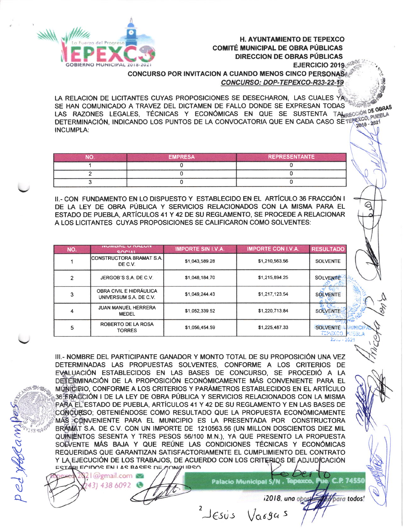

**H. AYUNTAMIENTO DE TEPEXCO COMITÉ MUNICIPAL DE OBRA PÚBLICAS DIRECCION DE OBRAS PÚBLICAS** EJERCICIO 2019

⊝

**CONCURSO POR INVITACION A CUANDO MENOS CINCO PERSONAS** CONCURSO: DOP-TEPEXCO-R33-22-19

LA RELACIÓN DE LICITANTES CUYAS PROPOSICIONES SE DESECHARON. LAS CUALES YA SE HAN COMUNICADO A TRAVEZ DEL DICTAMEN DE FALLO DONDE SE EXPRESAN TODAS LAS RAZONES LEGALES, TÉCNICAS Y ECONÓMICAS EN QUE SE SUSTENTA TAMBECCIÓN DE OBRAS DETERMINACIÓN, INDICANDO LOS PUNTOS DE LA CONVOCATORIA QUE EN CADA CASO SE TEREIGO PUEBLA **INCUMPLA:** 

| NП | <b>EMPRESA</b> | <b>REPRESENTANTE</b> |
|----|----------------|----------------------|
|    |                |                      |
|    |                |                      |
|    |                |                      |

II.- CON FUNDAMENTO EN LO DISPUESTO Y ESTABLECIDO EN EL ARTÍCULO 36 FRACCIÓN I DE LA LEY DE OBRA PÚBLICA Y SERVICIOS RELACIONADOS CON LA MISMA PARA EL ESTADO DE PUEBLA, ARTÍCULOS 41 Y 42 DE SU REGLAMENTO, SE PROCEDE A RELACIONAR A LOS LICITANTES CUYAS PROPOSICIONES SE CALIFICARON COMO SOLVENTES:

| NO.            | <b>ITUITIDRE U RAZUIT</b><br>SOCIAL                      | <b>IMPORTE SIN I.V.A.</b> | <b>IMPORTE CON I.V.A.</b> | <b>RESULTADO</b>                         |
|----------------|----------------------------------------------------------|---------------------------|---------------------------|------------------------------------------|
|                | <b>ICONSTRUCTORA BRAMAT S.A.</b><br>DE C.V.              | \$1.043,589.28            | \$1,210,563.56            | <b>SOLVENTE</b>                          |
| $\overline{2}$ | JERGOB'S S.A. DE C.V.                                    | \$1,048,184.70            | \$1,215,894.25            | <b>SOLVENTE</b>                          |
| 3              | <b>OBRA CIVIL E HIDRÁULICA</b><br>UNIVERSUM S.A. DE C.V. | \$1,049,244.43            | \$1,217,123.54            | <b>SOLVENTE</b>                          |
| 4              | <b>JUAN MANUEL HERRERA</b><br><b>MEDEL</b>               | \$1,052,339.52            | \$1,220,713.84            | <b>SOLVENTE-</b>                         |
| 5              | ROBERTO DE LA ROSA<br><b>TORRES</b>                      | \$1,056,454.59            | \$1,225,487.33            | <b>PYA</b><br><b>SOLVENTE</b><br>TEPEXCO |

III.- NOMBRE DEL PARTICIPANTE GANADOR Y MONTO TOTAL DE SU PROPOSICIÓN UNA VEZ DETERMINADAS LAS PROPUESTAS SOLVENTES. CONFORME A LOS CRITERIOS DE EVALUACIÓN ESTABLECIDOS EN LAS BASES DE CONCURSO, SE PROCEDIÓ A LA DEFERMINACIÓN DE LA PROPOSICIÓN ECONÓMICAMENTE MÁS CONVENIENTE PARA EL M() M() DO CONFORME A LOS CRITERIOS Y PARÁMETROS ESTABLECIDOS EN EL ARTÍCULO 36 FRACCIÓN I DE LA LEY DE OBRA PÚBLICA Y SERVICIOS RELACIONADOS CON LA MISMA PARA EL ESTADO DE PUEBLA, ARTÍCULOS 41 Y 42 DE SU REGLAMENTO Y EN LAS BASES DE CONCURSO; OBTENIÉNDOSE COMO RESULTADO QUE LA PROPUESTA ECONÓMICAMENTE MÁS CONVENIENTE PARA EL MUNICIPIO ES LA PRESENTADA POR CONSTRUCTORA BRAMAT S.A. DE C.V. CON UN IMPORTE DE 1210563.56 (UN MILLON DOSCIENTOS DIEZ MIL QUINIENTOS SESENTA Y TRES PESOS 56/100 M.N.). YA QUE PRESENTO LA PROPUESTA SOEVENTE MÁS BAJA Y QUE REÚNE LAS CONDICIONES TÉCNICAS Y ECONÓMICAS REQUERIDAS QUE GARANTIZAN SATISFACTORIAMENTE EL CUMPLIMIENTO DEL CONTRATO Y LA EJECUCIÓN DE LOS TRABAJOS, DE ACUERDO CON LOS CRITERIOS DE ADJUDÍCACIÓN FSTARI FOIDOS EN 1 AS RASES DE AONQUIRSO

 $\omega$ gmail.com 31 438 6092

ped yfferam

**P** 74554 Palacio Municipal S/N, Te

12018, uno opg

bara todos

 $J\epsilon s$ ن  $\sqrt{a}69a5$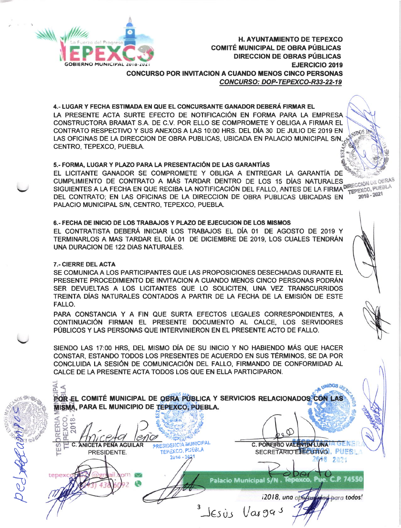

**H. AYUNTAMIENTO DE TEPEXCO COMITÉ MUNICIPAL DE OBRA PÚBLICAS DIRECCION DE OBRAS PÚBLICAS EJERCICIO 2019 CONCURSO POR INVITACION A CUANDO MENOS CINCO PERSONAS** CONCURSO: DOP-TEPEXCO-R33-22-19

**ALDOS** 

ustBOs

ded para todos!

4.- LUGAR Y FECHA ESTIMADA EN QUE EL CONCURSANTE GANADOR DEBERÁ FIRMAR EL LA PRESENTE ACTA SURTE EFECTO DE NOTIFICACIÓN EN FORMA PARA LA EMPRESA CONSTRUCTORA BRAMAT S.A. DE C.V. POR ELLO SE COMPROMETE Y OBLIGA A FIRMAR EL CONTRATO RESPECTIVO Y SUS ANEXOS A LAS 10:00 HRS. DEL DÍA 30 DE JULIO DE 2019 EN LAS OFICINAS DE LA DIRECCION DE OBRA PUBLICAS, UBICADA EN PALACIO MUNICIPAL S/N. CENTRO, TEPEXCO, PUEBLA,

# 5.- FORMA, LUGAR Y PLAZO PARA LA PRESENTACIÓN DE LAS GARANTÍAS

EL LICITANTE GANADOR SE COMPROMETE Y OBLIGA A ENTREGAR LA GARANTÍA DE SIGUIENTES A LA FECHA EN QUE RECIBA LA NOTIFICACIÓN DEL FALLO, ANTES DE LA FIRMADERECCIÓN DE DEBLA<br>DEL CONTRATO: EN LAS OFICINAS DE LA DIPECCIÓN DEL FALLO, ANTES DE LA FIRMADERECCO, PUEBLA PALACIO MUNICIPAL S/N, CENTRO, TEPEXCO, PUEBLA.

# 6.- FECHA DE INICIO DE LOS TRABAJOS Y PLAZO DE EJECUCION DE LOS MISMOS

EL CONTRATISTA DEBERÁ INICIAR LOS TRABAJOS EL DÍA 01 DE AGOSTO DE 2019 Y TERMINARLOS A MAS TARDAR EL DÍA 01 DE DICIEMBRE DE 2019, LOS CUALES TENDRÁN UNA DURACION DE 122 DIAS NATURALES.

# 7.- CIERRE DEL ACTA

O 00

**DRERI** 

SE COMUNICA A LOS PARTICIPANTES QUE LAS PROPOSICIONES DESECHADAS DURANTE EL PRESENTE PROCEDIMIENTO DE INVITACION A CUANDO MENOS CINCO PERSONAS PODRÁN SER DEVUELTAS A LOS LICITANTES QUE LO SOLICITEN, UNA VEZ TRANSCURRIDOS TREINTA DÍAS NATURALES CONTADOS A PARTIR DE LA FECHA DE LA EMISIÓN DE ESTE **FALLO.** 

PARA CONSTANCIA Y A FIN QUE SURTA EFECTOS LEGALES CORRESPONDIENTES, A CONTINUACIÓN FIRMAN EL PRESENTE DOCUMENTO AL CALCE. LOS SERVIDORES PÚBLICOS Y LAS PERSONAS QUE INTERVINIERON EN EL PRESENTE ACTO DE FALLO.

SIENDO LAS 17:00 HRS, DEL MISMO DÍA DE SU INICIO Y NO HABIENDO MÁS QUE HACER CONSTAR, ESTANDO TODOS LOS PRESENTES DE ACUERDO EN SUS TÉRMINOS, SE DA POR CONCLUIDA LA SESIÓN DE COMUNICACIÓN DEL FALLO, FIRMANDO DE CONFORMIDAD AL CALCE DE LA PRESENTE ACTA TODOS LOS QUE EN ELLA PARTICIPARON.

POR EL COMITÉ MUNICIPAL DE OBRA PÚBLICA Y SERVICIOS RELACIONADOS CON LAS MISMA, PARA EL MUNICIPIO DE TEPEXCO, PÚEBLA.

PRESIDENCIA MUNICIPAL C. POREIRIO VALENTIN'LUNA DENE **C. ANICETA PEÑA AGUILAR** TEPEXCO, PUEBLA **SECRETARIO EJECUTIVO. PUES** PRESIDENTE.  $2018 -$ 2648 2021 Tepexco, Pue. C.P. 74556 **Palacio Municipal S/N.** 

Jesús Vargas

12018, uno other